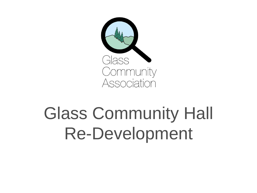

# Glass Community Hall Re-Development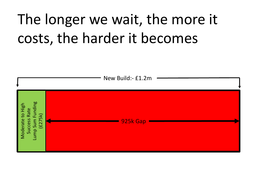## The longer we wait, the more it costs, the harder it becomes

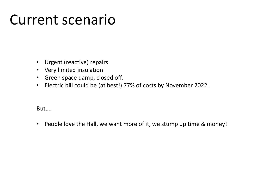#### Current scenario

- Urgent (reactive) repairs
- Very limited insulation
- Green space damp, closed off.
- Electric bill could be (at best!) 77% of costs by November 2022.

#### But….

• People love the Hall, we want more of it, we stump up time & money!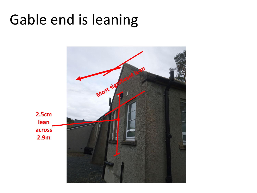#### Gable end is leaning

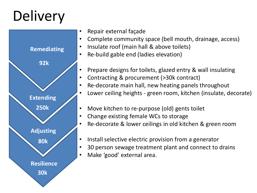#### **Delivery**



- Repair external façade
- Complete community space (bell mouth, drainage, access)
- Insulate roof (main hall & above toilets)
- Re-build gable end (ladies elevation)
- Prepare designs for toilets, glazed entry & wall insulating
- Contracting & procurement (>30k contract)
- Re-decorate main hall, new heating panels throughout
- Lower ceiling heights green room, kitchen (insulate, decorate)
- Move kitchen to re-purpose (old) gents toilet
- Change existing female WCs to storage
- Re-decorate & lower ceilings in old kitchen & green room
- Install selective electric provision from a generator
- 30 person sewage treatment plant and connect to drains
- Make 'good' external area.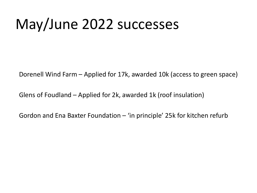#### May/June 2022 successes

Dorenell Wind Farm – Applied for 17k, awarded 10k (access to green space)

Glens of Foudland – Applied for 2k, awarded 1k (roof insulation)

Gordon and Ena Baxter Foundation  $-$  'in principle' 25k for kitchen refurb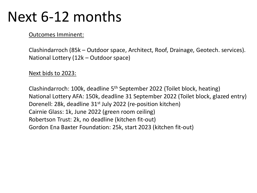#### Next 6-12 months

Outcomes Imminent:

Clashindarroch (85k – Outdoor space, Architect, Roof, Drainage, Geotech. services). National Lottery (12k – Outdoor space)

Next bids to 2023:

Clashindarroch: 100k, deadline 5th September 2022 (Toilet block, heating) National Lottery AFA: 150k, deadline 31 September 2022 (Toilet block, glazed entry) Dorenell: 28k, deadline 31<sup>st</sup> July 2022 (re-position kitchen) Cairnie Glass: 1k, June 2022 (green room ceiling) Robertson Trust: 2k, no deadline (kitchen fit-out) Gordon Ena Baxter Foundation: 25k, start 2023 (kitchen fit-out)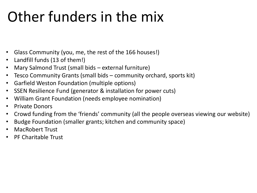#### Other funders in the mix

- Glass Community (you, me, the rest of the 166 houses!)
- Landfill funds (13 of them!)
- Mary Salmond Trust (small bids external furniture)
- Tesco Community Grants (small bids community orchard, sports kit)
- Garfield Weston Foundation (multiple options)
- SSEN Resilience Fund (generator & installation for power cuts)
- William Grant Foundation (needs employee nomination)
- Private Donors
- Crowd funding from the 'friends' community (all the people overseas viewing our website)
- Budge Foundation (smaller grants; kitchen and community space)
- MacRobert Trust
- PF Charitable Trust